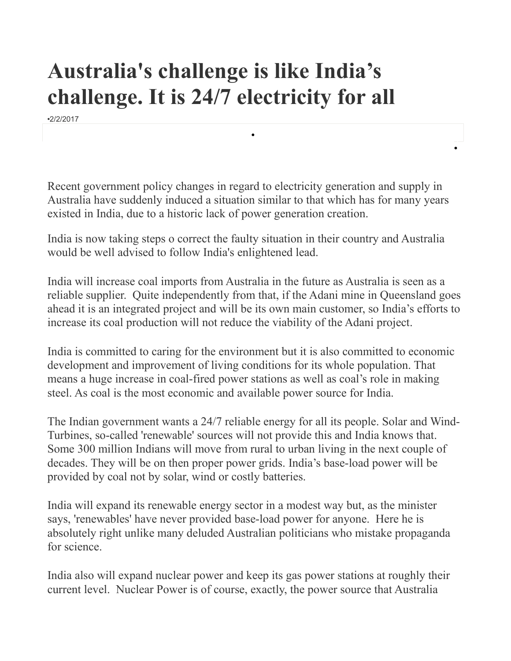## **Australia's challenge is like India's challenge. It is 24/7 electricity for all**

•2/2/2017

Recent government policy changes in regard to electricity generation and supply in Australia have suddenly induced a situation similar to that which has for many years existed in India, due to a historic lack of power generation creation.

•

•

India is now taking steps o correct the faulty situation in their country and Australia would be well advised to follow India's enlightened lead.

India will increase coal imports from Australia in the future as Australia is seen as a reliable supplier. Quite independently from that, if the Adani mine in Queensland goes ahead it is an integrated project and will be its own main customer, so India's efforts to increase its coal production will not reduce the viability of the Adani project.

India is committed to caring for the environment but it is also committed to economic development and improvement of living conditions for its whole population. That means a huge increase in coal-fired power stations as well as coal's role in making steel. As coal is the most economic and available power source for India.

The Indian government wants a 24/7 reliable energy for all its people. Solar and Wind-Turbines, so-called 'renewable' sources will not provide this and India knows that. Some 300 million Indians will move from rural to urban living in the next couple of decades. They will be on then proper power grids. India's base-load power will be provided by coal not by solar, wind or costly batteries.

India will expand its renewable energy sector in a modest way but, as the minister says, 'renewables' have never provided base-load power for anyone. Here he is absolutely right unlike many deluded Australian politicians who mistake propaganda for science.

India also will expand nuclear power and keep its gas power stations at roughly their current level. Nuclear Power is of course, exactly, the power source that Australia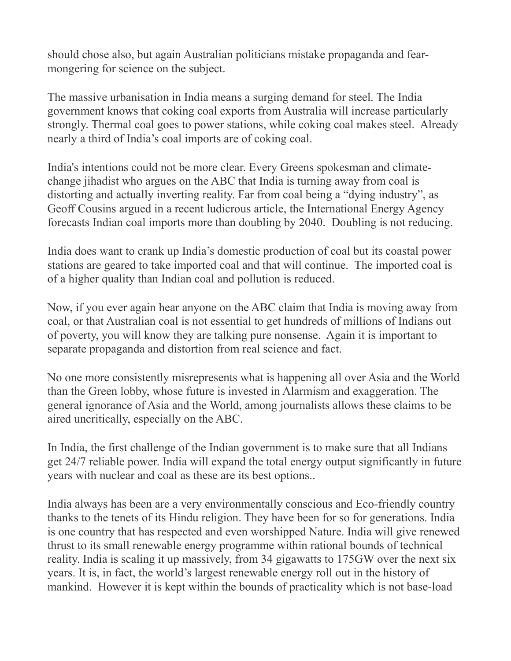should chose also, but again Australian politicians mistake propaganda and fearmongering for science on the subject.

The massive urbanisation in India means a surging demand for steel. The India government knows that coking coal exports from Australia will increase particularly strongly. Thermal coal goes to power stations, while coking coal makes steel. Already nearly a third of India's coal imports are of coking coal.

India's intentions could not be more clear. Every Greens spokesman and climatechange jihadist who argues on the ABC that India is turning away from coal is distorting and actually inverting reality. Far from coal being a "dying industry", as Geoff Cousins argued in a recent ludicrous article, the International Energy Agency forecasts Indian coal imports more than doubling by 2040. Doubling is not reducing.

India does want to crank up India's domestic production of coal but its coastal power stations are geared to take imported coal and that will continue. The imported coal is of a higher quality than Indian coal and pollution is reduced.

Now, if you ever again hear anyone on the ABC claim that India is moving away from coal, or that Australian coal is not essential to get hundreds of millions of Indians out of poverty, you will know they are talking pure nonsense. Again it is important to separate propaganda and distortion from real science and fact.

No one more consistently misrepresents what is happening all over Asia and the World than the Green lobby, whose future is invested in Alarmism and exaggeration. The general ignorance of Asia and the World, among journalists allows these claims to be aired uncritically, especially on the ABC.

In India, the first challenge of the Indian government is to make sure that all Indians get 24/7 reliable power. India will expand the total energy output significantly in future years with nuclear and coal as these are its best options..

India always has been are a very environmentally conscious and Eco-friendly country thanks to the tenets of its Hindu religion. They have been for so for generations. India is one country that has respected and even worshipped Nature. India will give renewed thrust to its small renewable energy programme within rational bounds of technical reality. India is scaling it up massively, from 34 gigawatts to 175GW over the next six years. It is, in fact, the world's largest renewable energy roll out in the history of mankind. However it is kept within the bounds of practicality which is not base-load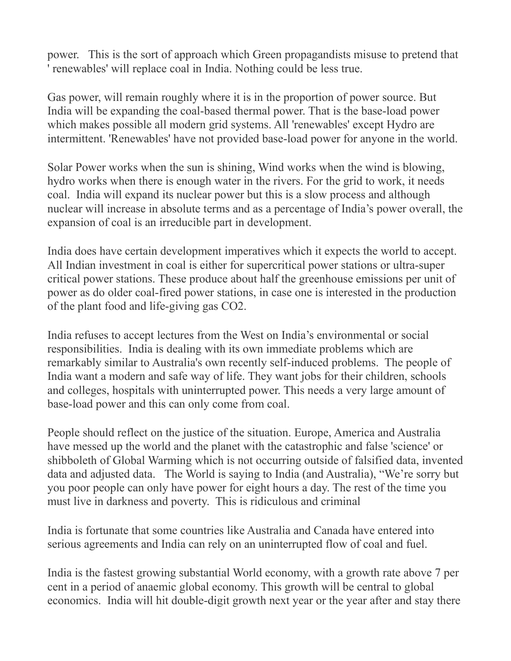power. This is the sort of approach which Green propagandists misuse to pretend that ' renewables' will replace coal in India. Nothing could be less true.

Gas power, will remain roughly where it is in the proportion of power source. But India will be expanding the coal-based thermal power. That is the base-load power which makes possible all modern grid systems. All 'renewables' except Hydro are intermittent. 'Renewables' have not provided base-load power for anyone in the world.

Solar Power works when the sun is shining, Wind works when the wind is blowing, hydro works when there is enough water in the rivers. For the grid to work, it needs coal. India will expand its nuclear power but this is a slow process and although nuclear will increase in absolute terms and as a percentage of India's power overall, the expansion of coal is an irreducible part in development.

India does have certain development imperatives which it expects the world to accept. All Indian investment in coal is either for supercritical power stations or ultra-super critical power stations. These produce about half the greenhouse emissions per unit of power as do older coal-fired power stations, in case one is interested in the production of the plant food and life-giving gas CO2.

India refuses to accept lectures from the West on India's environmental or social responsibilities. India is dealing with its own immediate problems which are remarkably similar to Australia's own recently self-induced problems. The people of India want a modern and safe way of life. They want jobs for their children, schools and colleges, hospitals with uninterrupted power. This needs a very large amount of base-load power and this can only come from coal.

People should reflect on the justice of the situation. Europe, America and Australia have messed up the world and the planet with the catastrophic and false 'science' or shibboleth of Global Warming which is not occurring outside of falsified data, invented data and adjusted data. The World is saying to India (and Australia), "We're sorry but you poor people can only have power for eight hours a day. The rest of the time you must live in darkness and poverty. This is ridiculous and criminal

India is fortunate that some countries like Australia and Canada have entered into serious agreements and India can rely on an uninterrupted flow of coal and fuel.

India is the fastest growing substantial World economy, with a growth rate above 7 per cent in a period of anaemic global economy. This growth will be central to global economics. India will hit double-digit growth next year or the year after and stay there